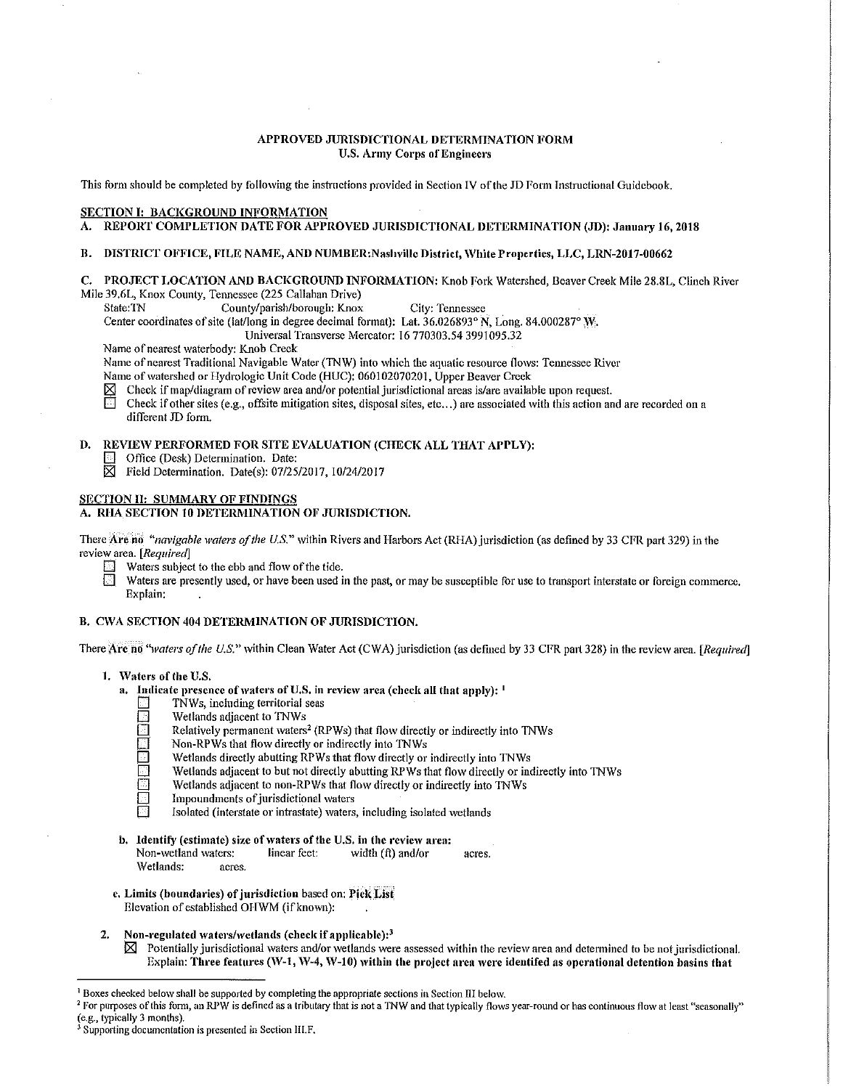### APPROVED JURISDICTIONAL DETERMINATION FORM **U.S. Army Corps of Engineers**

This form should be completed by following the instructions provided in Section IV of the JD Form Instructional Guidebook.

# SECTION I: BACKGROUND INFORMATION

# A. REPORT COMPLETION DATE FOR APPROVED JURISDICTIONAL DETERMINATION (JD): January 16, 2018

### B. DISTRICT OFFICE, FILE NAME, AND NUMBER:Nashville District, White Properties, LLC, LRN-2017-00662

C. PROJECT LOCATION AND BACKGROUND INFORMATION: Knob Fork Watershed, Beaver Creek Mile 28.8L, Clinch River Mile 39.6L, Knox County, Tennessee (225 Callahan Drive)

County/parish/borough: Knox City: Tennessee

Center coordinates of site (lat/long in degree decimal format): Lat.  $36.026893^{\circ}$  N, Long. 84.000287° W,

Universal Transverse Mercator: 16 770303.54 3991095.32

Name of nearest waterbody: Knob Creek

Name of nearest Traditional Navigable Water (TNW) into which the aquatic resource flows: Tennessee River

Name of watershed or Hydrologic Unit Code (HUC): 060102070201, Upper Beaver Creek

 $\boxtimes$  Check if map/diagram of review area and/or potential jurisdictional areas is/are available upon request.

Check if other sites (e.g., offsite mitigation sites, disposal sites, etc...) are associated with this action and are recorded on a different JD form.

# D. REVIEW PERFORMED FOR SITE EVALUATION (CHECK ALL THAT APPLY):

- **D** Office (Desk) Determination. Date:
- $\overline{\boxtimes}$  Field Determination. Date(s): 07/25/2017, 10/24/2017

#### SECTION II: SUMMARY OF FINDINGS

# A. RHA SECTION 10 DETERMINATION OF JURISDICTION.

There Are no *"navigable waters of the U.S."* within Rivers and Harbors Act (RHA) jurisdiction (as defined by 33 CFR part 329) in the review area. *[Required]* 

- $\Box$  Waters subject to the ebb and flow of the tide.<br> $\Box$  Waters are presently used, or have been used i
	- Waters are presently used, or have been used in the past, or may be susceptible for use to transport interstate or foreign commerce. Explain:

# B. CWA SECTION 404 DETERMINATION OF JURISDICTION.

There Arc no "*vaters of the U.S."* within Clean Water Act (CWA) jurisdiction (as defined by 33 CFR part 328) in the review area. *[Required]* 

- 1. Waters of the U.S.
	- a. Indicate presence of waters of U.S. in review area (check all that apply):  $\frac{1}{2}$ 
		- $\Box$  TNWs, including territorial seas
		- Wetlands adjacent to TNWs
		- Relatively permanent waters<sup>2</sup> (RPWs) that flow directly or indirectly into TNWs
		- Non-RPWs that flow directly or indirectly into TNWs
		- Wetlands directly abutting RPWs that flow directly or indirectly into TNWs
		- Wetlands adjacent to but not directly abutting RPWs that flow directly or indirectly into TNWs
		- Wetlands adjacent to non-RPWs that flow directly or indirectly into TNWs
		- Impoundments of jurisdictional waters
		- Isolated (interstate or intrastate) waters, including isolated wetlands
	- b. Identify (estimate) size of waters of the U.S. in the review area:<br>Non-wetland waters: linear feet: width (ft) and/or
		- Non-wetland waters: linear feet: width (ft) and/or acres. Wetlands: acres.
	- c, Limits (boundaries) of jurisdiction based on: Pick List Elevation of established OHWM (if known):
- 2. Non-regulated waters/wetlands (check if applicable): $3$ 
	- $\boxtimes$  Potentially jurisdictional waters and/or wetlands were assessed within the review area and determined to be not jurisdictional. Explain: Three features (W-1, W-4, W-10) within the project area were identifed as operational detention basins that

<sup>&</sup>lt;sup>1</sup> Boxes checked below shall be supported by completing the appropriate sections in Section III below.<br><sup>2</sup> For purposes of this form, an RPW is defined as a tributary that is not a TNW and that typically flows year-round

Supporting documentation is presented in Section III.F.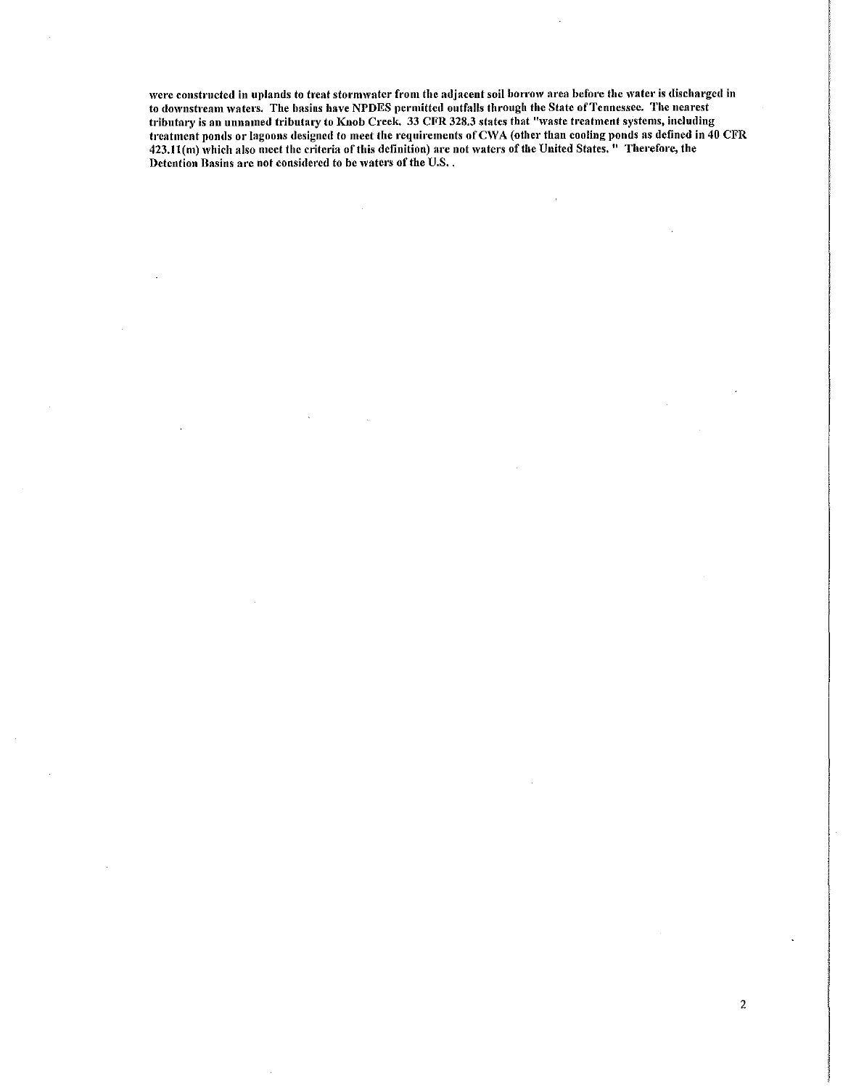were constructed in uplands to treat stormwater from the adjacent soil borrow area before the water is discharged in to downstream waters. The basins have NPDES permitted outfalls through the State of Tennessee. The nearest tributary is an unnamed tributary to Knob Creek. 33 CFR 328.3 states that "waste treatment systems, including treatment ponds or lagoons designed to meet the requirements of CWA (other than cooling ponds as defined in 40 CFR 423.11(m) which also meet the criteria of this definition) are not waters of the United States. " Therefore, the Detention Basins are not considered to be waters of the U.S..

2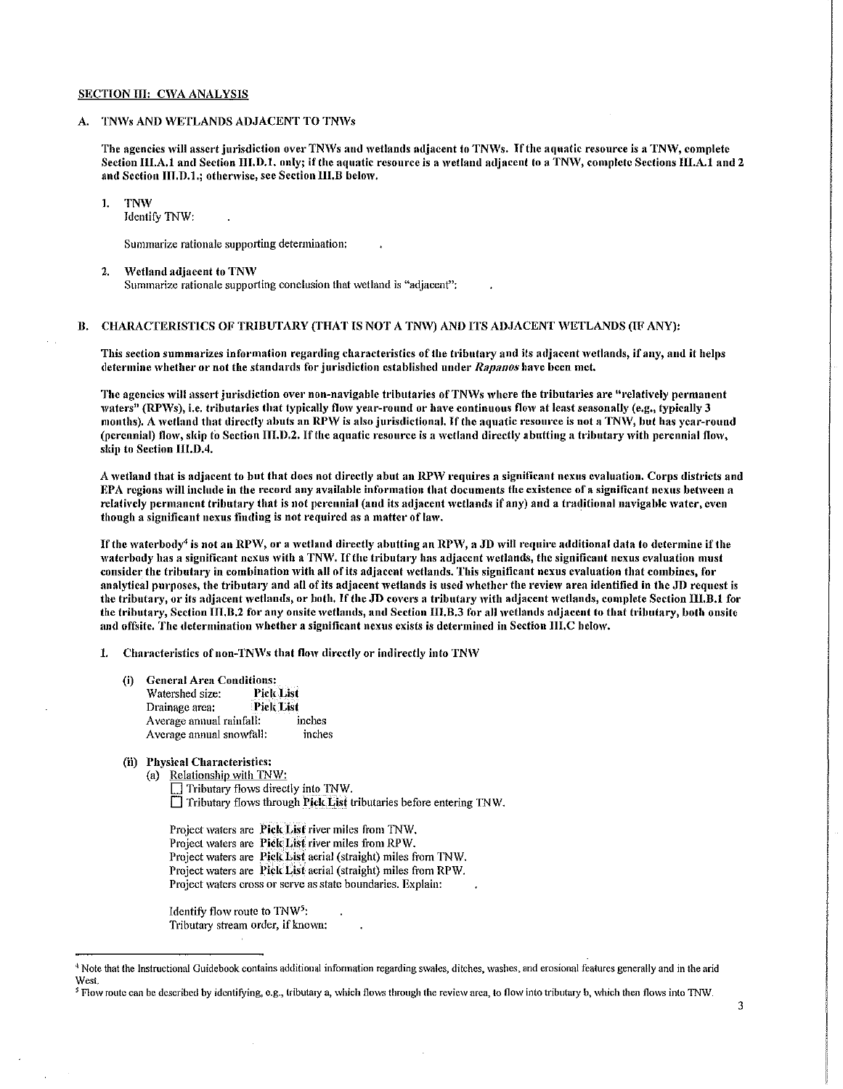#### SECTION III: CWA ANALYSIS

## A. TNWs AND WETLANDS ADJACENT TO TNWs

The agencies will assert jurisdiction over TNWs and wetlands adjacent to TNWs. If the aquatic resource is a TNW, complete Section III.A.1 and Section III.D.1, only; if the aquatic resource is a wetland adjacent to a TNW, complete Sections III.A.1 and 2 and Section III.D.1.; otherwise, see Section III.B below.

#### 1. TNW

Identify TNW:

Summarize rationale supporting determination:

2. Wetland adjacent to TNW Summarize rationale supporting conclusion that wetland is "adjacent":

### B. CHARACTERISTICS OF TRIBUTARY (THAT IS NOT A TNW) AND ITS ADJACENT WETLANDS (IF ANY):

This section summarizes information regarding characteristics of the tributary and its adjacent \Vctlands, if any, and it helps detennine \vhether or not the standards for jurisdiction established under *Rapanos* liave been met.

The agencies will assert jurisdiction over non-navigable tributaries of TNWs where the tributaries are "relatively permanent waters" (RPWs), i.e. tributaries that typically flow year-round or have continuous flow at least seasonally (e.g., typically 3 months). A wetland that directly abuts an RPW is also jurisdictional. If the aquatic resource is not a TNW, but has year-round (perennial) flow, skip to Section III.D.2. If the aquatic resource is a wetland directly abutting a tributary with perennial flow, skip to Section 111.D.4.

A wetland that is adiacent to but that does not directly abut an RPW requires a significant nexus evaluation. Corps districts and EPA regions will include in the record any available information that documents the existence of a significant nexus between a relatively permanent tributary that is not perennial (and its adjacent wetlands if any) and a traditional navigable water, even though a significant nexus finding is not required as a matter of law.

If the waterbody<sup>4</sup> is not an RPW, or a wetland directly abutting an RPW, a JD will require additional data to determine if the waterbody has a significant nexus with a TNW. If the tributary has adjacent wetlands, the significant nexus evaluation must consider the tributary in combination with all of its adjacent wetlands. This significant nexus evaluation that combines, for analytical purposes, the tributary and all of its adjacent wetlands is used whether the review area identified in the JD request is the tributary, or its adjacent wetlands, or both. If the JD covers a tributary with adjacent wetlands, complete Section III, B, 1 for the tributary, Section III.B.2 for any onsite wetlands, and Section III.B.3 for all wetlands adjacent to that tributary, both onsite and offsite. The determination whether a significant nexus exists is determined in Section III.C below.

1. Characteristics of non-TNWs that flow directly or indirectly into TNW

- (i) General Area Conditions:<br>Watershed size: Pick List Watershed size: Drainage area;<br>Average annual rainfall: inches Average annual rainfall: inches<br>Average annual snowfall: inches Average annual snowfall:
- (ii) Physical Characteristics:
	- (a) Relationship with TNW:

 $\Box$  Tributary flows directly into TNW.  $\Box$  Tributary flows through Pick List tributaries before entering TNW.

Project waters are Pick List river miles from TNW. Project waters are Pick List river miles from RPW. Project waters are Pick List aerial (straight) miles from TNW. Project waters are Pick List aerial (straight) miles from RPW. Project waters cross or serve as state boundaries. Explain:

Identify flow route to  $TW<sup>5</sup>$ : Tributary stream order, if known:

<sup>4</sup> Note that the Instructional Guidebook contains additional information regarding swales, ditches, washes, and erosional features generally and in the arid West.

<sup>&</sup>lt;sup>5</sup> Flow route can be described by identifying, e.g., tributary a, which flows through the review area, to flow into tributary b, which then flows into TNW.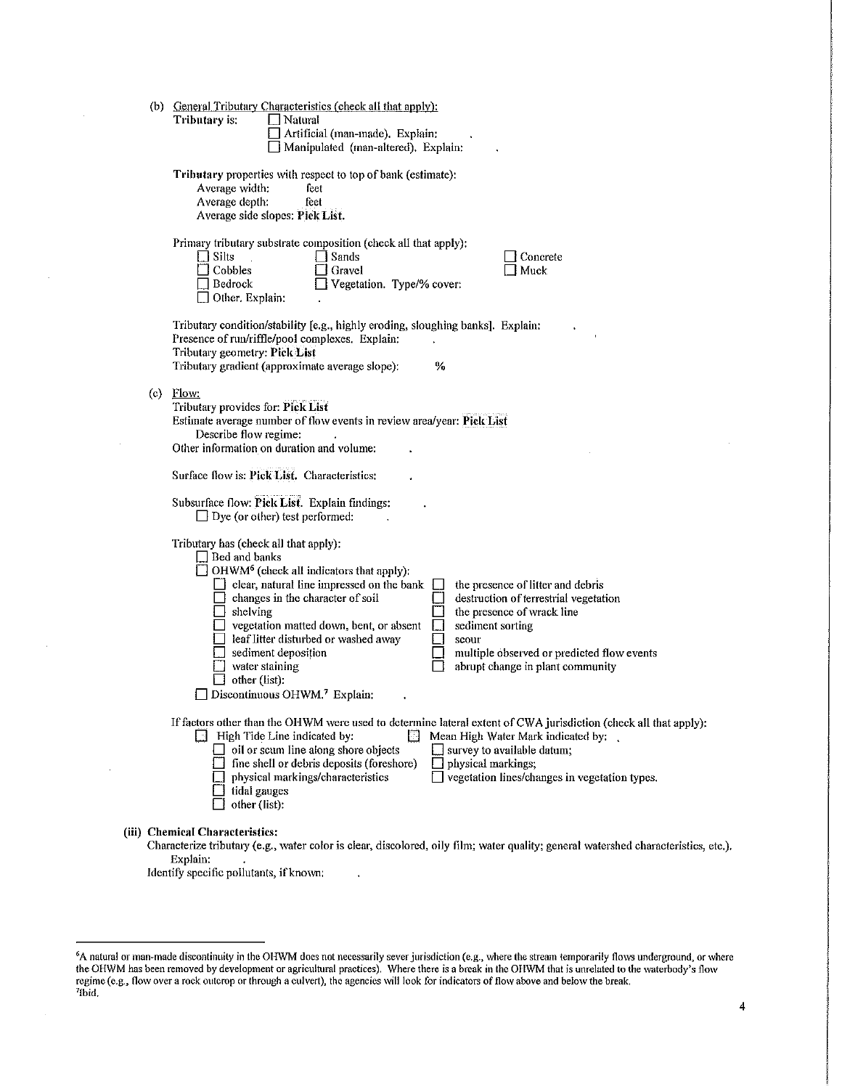|     | (b) General Tributary Characteristics (check all that apply):<br>Tributary is:<br>    Natural<br>Artificial (man-made). Explain:<br>Manipulated (man-altered). Explain:                                                                                                                                                                                                                                                                                                                                                                                                                                                                                                                         |
|-----|-------------------------------------------------------------------------------------------------------------------------------------------------------------------------------------------------------------------------------------------------------------------------------------------------------------------------------------------------------------------------------------------------------------------------------------------------------------------------------------------------------------------------------------------------------------------------------------------------------------------------------------------------------------------------------------------------|
|     | Tributary properties with respect to top of bank (estimate):<br>Average width:<br>feet<br>Average depth:<br>feet<br>Average side slopes: Pick List.                                                                                                                                                                                                                                                                                                                                                                                                                                                                                                                                             |
|     | Primary tributary substrate composition (check all that apply):<br>$\Box$ Silts<br>Sands]<br>Concrete<br>$\Box$ Cobbles<br>Gravel<br>Muck<br>Vegetation. Type/% cover:<br>Bedrock<br>$\Box$ Other. Explain:                                                                                                                                                                                                                                                                                                                                                                                                                                                                                     |
|     | Tributary condition/stability [e.g., highly eroding, sloughing banks]. Explain:<br>Presence of run/riffle/pool complexes. Explain:<br>Tributary geometry: Pick List<br>Tributary gradient (approximate average slope):<br>%                                                                                                                                                                                                                                                                                                                                                                                                                                                                     |
| (c) | Flow:<br>Tributary provides for: Pick List<br>Estimate average number of flow events in review area/year: Pick List<br>Describe flow regime:<br>Other information on duration and volume:                                                                                                                                                                                                                                                                                                                                                                                                                                                                                                       |
|     | Surface flow is: Pick List. Characteristics:                                                                                                                                                                                                                                                                                                                                                                                                                                                                                                                                                                                                                                                    |
|     | Subsurface flow: Pick List. Explain findings:<br>$\Box$ Dye (or other) test performed:                                                                                                                                                                                                                                                                                                                                                                                                                                                                                                                                                                                                          |
|     | Tributary has (check all that apply):<br>Bed and banks<br>$\Box$ OHWM <sup>6</sup> (check all indicators that apply):<br>$\Box$ clear, natural line impressed on the bank $\Box$<br>the presence of litter and debris<br>$\Box$ changes in the character of soil<br>destruction of terrestrial vegetation<br>$\Box$ shelving<br>the presence of wrack line<br>$\Box$ vegetation matted down, bent, or absent<br>sediment sorting<br>leaf litter disturbed or washed away<br>scour<br>$\Box$ sediment deposition<br>multiple observed or predicted flow events<br>$\Box$ water staining<br>abrupt change in plant community<br>other (list).<br>$\Box$ Discontinuous OHWM. <sup>7</sup> Explain: |
|     | If factors other than the OHWM were used to determine lateral extent of CWA jurisdiction (check all that apply):<br>$\Box$ High Tide Line indicated by:<br>М<br>Mean High Water Mark indicated by:<br>$\Box$ oil or scum line along shore objects<br>$\Box$ survey to available datum;<br>fine shell or debris deposits (foreshore)<br>physical markings;<br>$\Box$ vegetation lines/changes in vegetation types.<br>physical markings/characteristics<br>$\Box$ tidal gauges<br>other (list):                                                                                                                                                                                                  |
|     | (iii) Chemical Characteristics:<br>Characterize tributary (e.g., water color is clear, discolored, oily film; water quality; general watershed characteristics, etc.).                                                                                                                                                                                                                                                                                                                                                                                                                                                                                                                          |

Explain:

Identify specific pollutants, if known:

<sup>&</sup>lt;sup>6</sup>A natural or man-made discontinuity in the OHWM does not necessarily sever jurisdiction (e.g., where the stream temporarily flows underground, or where the OHWM has been removed by development or agricultural practices). Where there is a break in the OHWM that is unrelated to the waterbody's flow regime (e.g., flow over a rock outcrop or through a culvert), the agencies will look for indicators of flow above and below the break.<br><sup>716 id</sup> <sup>7</sup>lbid.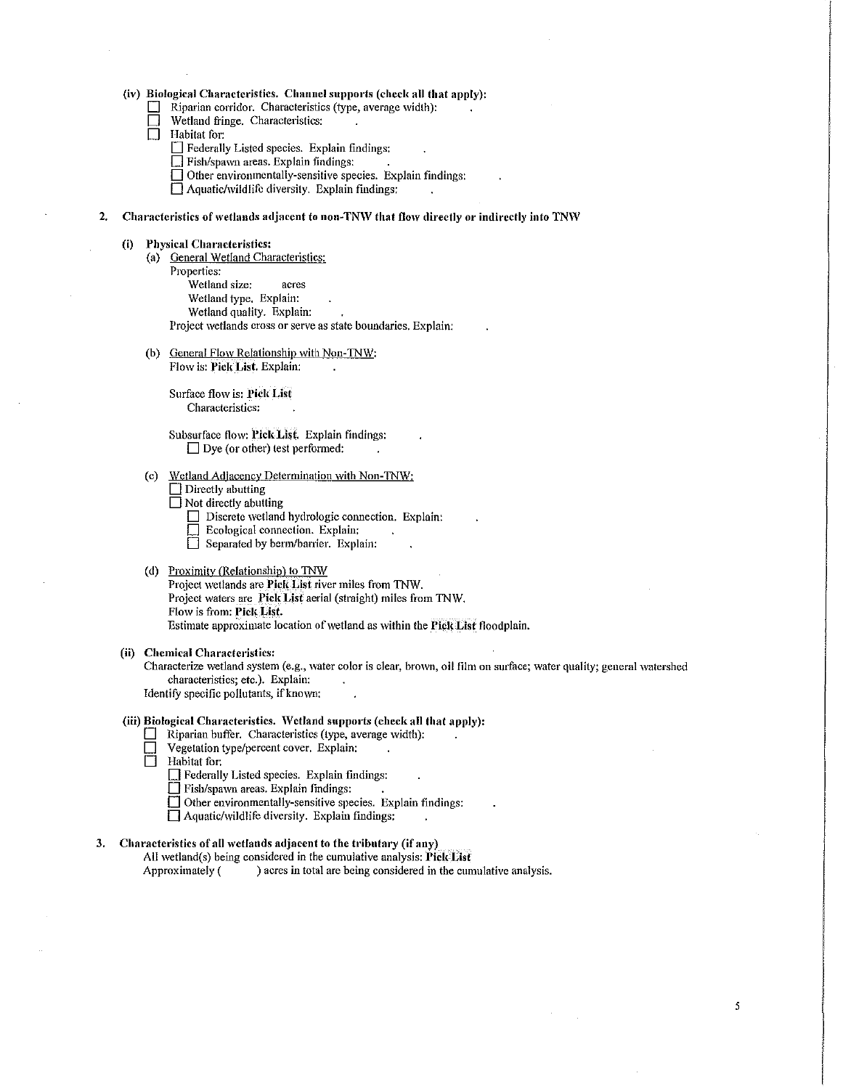#### (iv) Biological Characteristics. Channel supports (check all that apply):

- $\Box$  Riparian corridor. Characteristics (type, average width):
- Wetland fringe. Characteristics:
- $\Box$  Habitat for:
	- $\Box$  Federally Listed species. Explain findings:
	- $\Box$  Fish/spawn areas. Explain findings:
	- $\Box$  Other environmentally-sensitive species. Explain findings:

 $\Box$  Aquatic/wildlife diversity. Explain findings:

2. Characteristics of wetlands adjacent to non-TNW that flow directly or indirectly into TNW

#### (i) Physical Characteristics:

- (a) General Wetland Characteristics:
- Properties:

Wetland size: acres

Wetland type. Explain:

Wetland quality. Explain:

Project wetlands cross or serve as state boundaries. Explain:

(b) General Flow Relationship with Non-TNW:

Flo\v is: Pick List. Explain:

Surface flow is: Pick List Characteristics:

Subsurface flow: Pick List. Explain findings:  $\Box$  Dye (or other) test performed:

# (c) Wetland Adjacency Determination with Non-TNW:

 $\Box$  Directly abutting

□ Not directly abutting

- $\Box$  Discrete wetland hydrologic connection. Explain:
- $\Box$  Ecological connection. Explain:
- $\Box$  Separated by berm/barrier. Explain:

# (d) Proximity (Relationship) to TNW

Project wetlands are Pick List river miles from TNW. Project waters are Pick List aerial (straight) miles from TNW. Flow is from: Pick List. Estimate approximate location of wetland as within the Pick List floodplain.

#### (ii) Chemical Characteristics:

Characterize wetland system (e.g., water color is clear, brown, oil film on surface; water quality; general watershed characteristics; etc.). Explain:

5

Identify specific pollutants, if known:

# (iii) Biological Characteristics. 'Vetland supports (check all that apply):

- D R.iparian buffer. Characteristics (type, average \vidth):
- Vegetation type/percent cover. Explain:<br>
Habitat for:
- Habitat for:
	- D Federally Listed species. Explain findings:
	- $\Box$  Fish/spawn areas. Explain findings:
	- $\Box$  Other environmentally-sensitive species. Explain findings:
	- $\Box$  Aquatic/wildlife diversity. Explain findings:

### 3. Characteristics of all wetlands adjacent to the tributary (if any)

All \vetland(s) being considered in the cumulative analysis: Pick List Approxitnately ( ) acres in total are being considered in the cumulative analysis.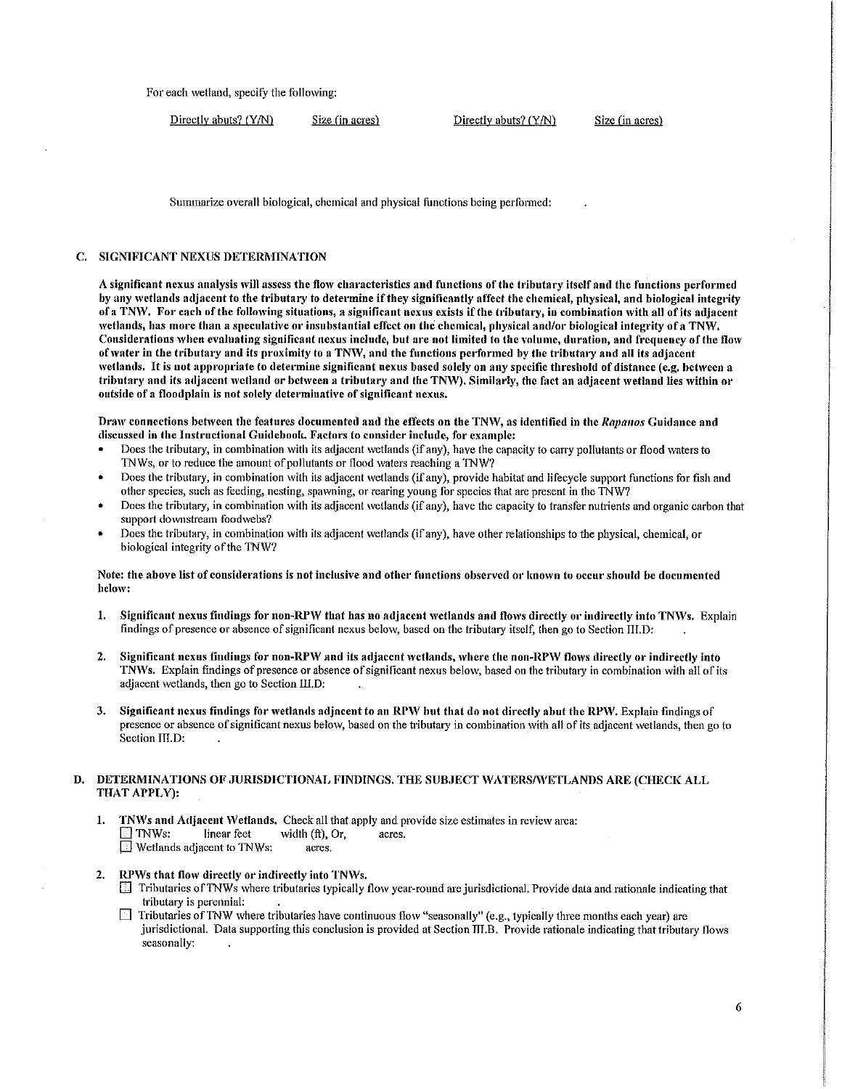For each wetland, specify the following:

Directly abuts? (Y/N) Size (in acres) Directly abuts? (Y/N) Size (in acres)

Summarize overall biological, chemical and physical functions being performed:

# C. SIGNIFICANT NEXUS DETERMINATION

A significant nexus analysis will assess the flow characteristics and functions of the tributary itself and the functions performed by any wetlands adjacent to the tributary to determine if they significantly affect the chemical, physical, and biological integrity of a TNW. For each of the following situations, a significant nexus exists if the tributary, in combination with all of its adjacent wetlands, has more than a speculative or insubstantial effect on the chemical, physical and/or biological integrity of a TNW. Considerations when evaluating significant nexus include, but are not limited to the volume, duration, and frequency of the flow of water in the tributary and its proximity to a TNW, and the functions performed by the tributary and all its adjacent wetlands, It is not appropriate to determine significant nexus based solely on any specific threshold of distance (e.g. between a tributary and its adjacent wetland or between a tributary and the TNW). Similarly, the fact an adjacent wetland lies within or outside of a floodplain is not solely determinative of significant nexus.

Draw connections between the features documented and the effects on the TNW, as identified in the *Rapanos* Guidance and discussed in the Instructional Guidebook. Factors to consider include, for example:

- Does the tributary, in combination with its adjacent wetlands (if any), have the capacity to carry pollutants or flood waters to TNWs, or to reduce the amount of pollutants or flood waters reaching a TNW?
- Does the tributary, in combination with its adjacent wetlands (if any), provide habitat and lifecycle support functions for fish and other species, such as feeding, nesting, spawning, or rearing young for species that are present in the TNW?
- Does the tributary, in combination with its adjacent wetlands (if any), have the capacity to transfer nutrients and organic carbon that support downstream foodwebs?
- Does the tributary, in combination with its adjacent wetlands (if any), have other relationships to the physical, chemical, or biological integrity of the TNW?

# Note: the above list of considerations is not inclusive and other functions observed or known to occur should be documented below:

- 1. Significant nexus findings for non-RPW that has no adjacent wetlands and flows directly or indirectly into TNWs. Explain findings of presence or absence of significant nexus below, based on the tributary itself, then go to Section III.D:
- 2. Significant nexus findings for non-RPW and its adjacent wetlands, where the non-RPW flows directly or indirectly into TNWs. Explain findings of presence or absence of significant nexus below, based on the tributary in combination with all of its adjacent wetlands, then go to Section 111.D;
- 3. Significant nexus findings for wetlands adjacent to an RPW but that do not directly abut the RPW. Explain findings of presence or absence of significant nexus below, based on the tributary in combination with all of its adjacent wetlands, then go to Section III.D:

### D. DETERMINATIONS OF JURISDICTIONAL FINDINGS. THE SUBJECT WATERS/WETLANDS ARE (CHECK ALL THAT APPLY):

- 1. TNWs and Adjacent Wetlands, Check all that apply and provide size estimates in review area:  $\Box$  TNWs: linear feet width (ft), Or, acres. **E** Wetlands adjacent to TNWs: acres.
- 2. RPWs that flow directly or indirectly into TNWs.
	- $\Box$  Tributaries of TNWs where tributaries typically flow year-round are jurisdictional. Provide data and rationale indicating that h·ibutary is perennial:
	- Tributaries of TNW where tributaries have continuous flow "seasonally" (e.g., typically three months each year) are jurisdictional. Data supporting this conclusion is provided at Section IIl.B. Provide rationale indicating that tributary flows seasonally: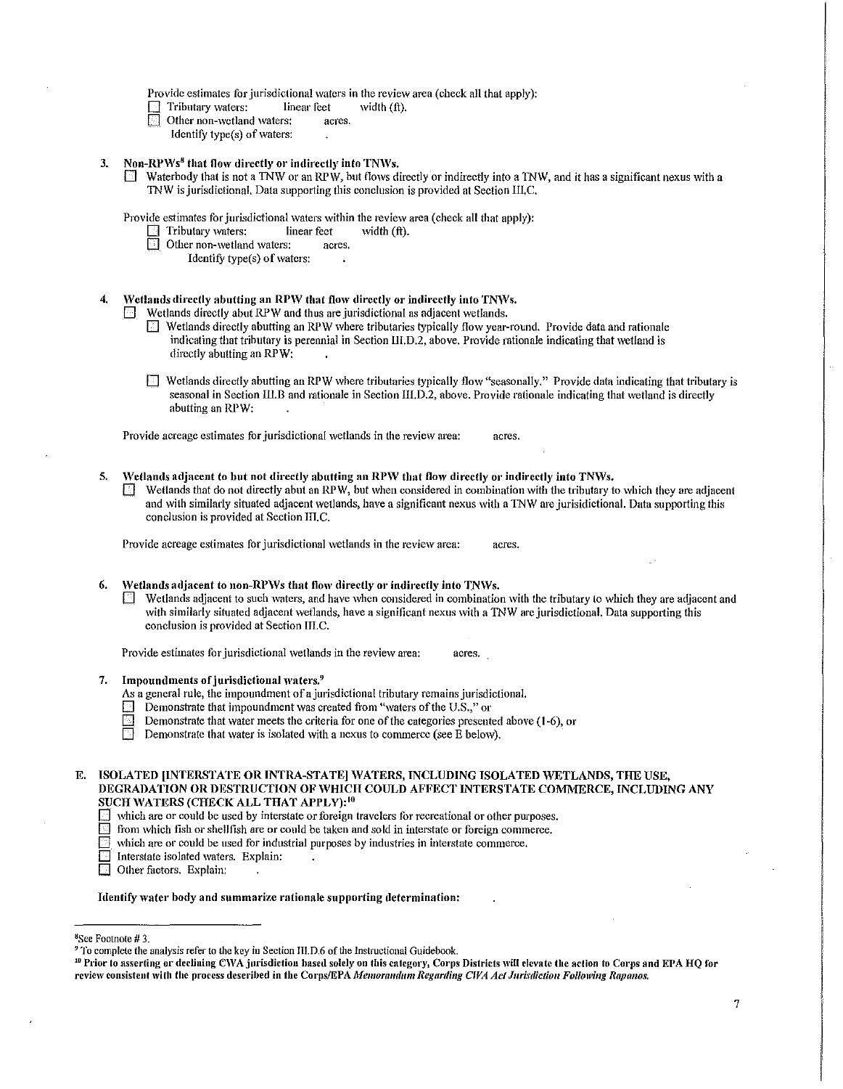Provide estimates for jurisdictional waters in the review area (check all that apply):<br>
Tributary waters: linear feet width (ft).

- Tributary waters: linear feet<br>
Other non-wetland waters: acres.
- Other non-wetland waters:
	- Identify type $(s)$  of waters:

### 3. Non-RPWs<sup>8</sup> that flow directly or indirectly into TNWs.

Waterbody that is not a TNW or an RPW, but flows directly or indirectly into a TNW, and it has a significant nexus with a TNW is jurisdictional. Data supporting this conclusion is provided at Section IlI.C.

Provide estimates for jurisdictional waters within the review area (check all that apply):<br>  $\Box$  Tributary waters: linear feet width (ft).

- Tributary waters: linear feet
- Other non-wetland waters: acres.
	- Identify type(s) of waters:

# Wetlands directly abutting an RPW that flow directly or indirectly into TNWs.

Wetlands directly abut RPW and thus are jurisdictional as adjacent wetlands.

- D Wetlands directly abutting an RPW where tributaries typically flow year-round. Provide data and rationale indicating that tributary is perennial in Section III.D.2, above. Provide rationale indicating that wetland is directly abutting an RPW:
- $\Box$  Wetlands directly abutting an RPW where tributaries typically flow "seasonally." Provide data indicating that tributary is seasonal in Section III.B and rationale in Section III.D.2, above. Provide rationale indicating that wetland is directly abutting an RPW:

Provide acreage estimates for jurisdictional wetlands in the review area: acres.

5. Wetlands adjacent to but not directly abutting an RPW that flow directly or indirectly into TNWs.  $\Box$  Wetlands that do not directly abut an RPW, but when considered in combination with the tributary to which they are adjacent and with similarly situated adjacent wetlands, have a significant nexus with a TNW are jurisidictional. Data supporting this conclusion is provided at Section III.C.

Provide acreage estimates for jurisdictional wetlands in the review area: acres.

### 6. Wetlands adjacent to non-RPWs that flow directly or indirectly into TNWs.

 $\Box$  Wetlands adjacent to such waters, and have when considered in combination with the tributary to which they are adjacent and with similarly situated adjacent wetlands, have a significant nexus with a TNW are jurisdictional. Data supporting this conclusion is provided at Section III.C.

Provide estimates for jurisdictional wetlands in the review area: acres.

- 7. Impoundments of jurisdictional waters.<sup>9</sup>
	- As a general rule, the impoundment of a jurisdictional tributary remains jurisdictional.
	- $\Box$  Demonstrate that impoundment was created from "waters of the U.S.," or
	- Demonstrate that water meets the criteria for one of the categories presented above (1-6), or<br>Demonstrate that water is isolated with a nexus to commerce (see E below).
	- Demonstrate that water is isolated with a nexus to commerce (see  $\dot{E}$  below).

## E. ISOLATED [INTERSTATE OR INTRA-STATE] WATERS, INCLUDING ISOLATED WETLANDS, THE USE, DEGRADATION OR DESTRUCTION OF WHICH COULD AFFECT INTERSTATE COMMERCE, INCLUDING ANY SUCH WATERS (CHECK ALL THAT APPLY):<sup>10</sup>

- $\Box$  which are or could be used by interstate or foreign travelers for recreational or other purposes.
- from which fish or shellfish are or could be taken and sold in interstate or foreign commerce,
- which are or could be used for industrial purposes by industries in interstate commerce.
- Interstate isolated waters. Explain:<br> **D** Other factors. Explain:
- Other factors. Explain:

#### Identify water body and summarize rationale supporting determination:

8 See Footnote# 3.

<sup>&</sup>lt;sup>9</sup> To complete the analysis refer to the key in Section III.D.6 of the Instructional Guidebook.<br><sup>10</sup> Prior to asserting or declining CWA jurisdiction based solely on this category, Corps Districts will elevate the action review consistent with the process described in the Corps/EPA Memorandum Regarding CWA Act Jurisdiction Following Rapanos,